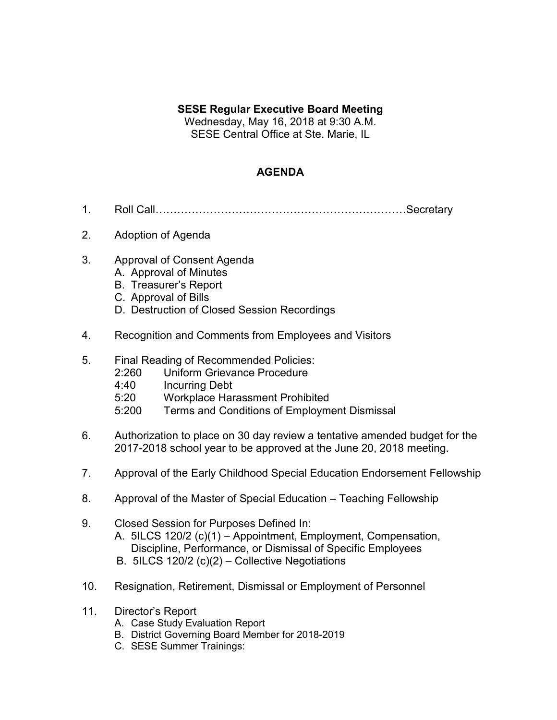## **SESE Regular Executive Board Meeting**

Wednesday, May 16, 2018 at 9:30 A.M. SESE Central Office at Ste. Marie, IL

## **AGENDA**

- 1. Roll Call……………………………………………………………Secretary
- 2. Adoption of Agenda
- 3. Approval of Consent Agenda
	- A. Approval of Minutes
	- B. Treasurer's Report
	- C. Approval of Bills
	- D. Destruction of Closed Session Recordings
- 4. Recognition and Comments from Employees and Visitors
- 5. Final Reading of Recommended Policies:
	- 2:260 Uniform Grievance Procedure
	- 4:40 Incurring Debt
	- 5:20 Workplace Harassment Prohibited
	- 5:200 Terms and Conditions of Employment Dismissal
- 6. Authorization to place on 30 day review a tentative amended budget for the 2017-2018 school year to be approved at the June 20, 2018 meeting.
- 7. Approval of the Early Childhood Special Education Endorsement Fellowship
- 8. Approval of the Master of Special Education Teaching Fellowship
- 9. Closed Session for Purposes Defined In: A. 5ILCS 120/2 (c)(1) – Appointment, Employment, Compensation, Discipline, Performance, or Dismissal of Specific Employees B. 5ILCS 120/2 (c)(2) – Collective Negotiations
- 10. Resignation, Retirement, Dismissal or Employment of Personnel
- 11. Director's Report
	- A. Case Study Evaluation Report
	- B. District Governing Board Member for 2018-2019
	- C. SESE Summer Trainings: